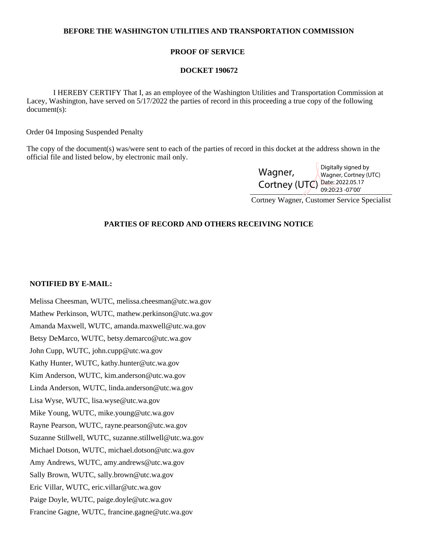## **BEFORE THE WASHINGTON UTILITIES AND TRANSPORTATION COMMISSION**

## **PROOF OF SERVICE**

#### **DOCKET 190672**

 I HEREBY CERTIFY That I, as an employee of the Washington Utilities and Transportation Commission at Lacey, Washington, have served on 5/17/2022 the parties of record in this proceeding a true copy of the following document(s):

Order 04 Imposing Suspended Penalty

The copy of the document(s) was/were sent to each of the parties of record in this docket at the address shown in the official file and listed below, by electronic mail only.

| Wagner,                        | Digitally signed by<br>Wagner, Cortney (UTC) |
|--------------------------------|----------------------------------------------|
| Cortney (UTC) Date: 2022.05.17 |                                              |

Cortney Wagner, Customer Service Specialist

# **PARTIES OF RECORD AND OTHERS RECEIVING NOTICE**

#### **NOTIFIED BY E-MAIL:**

Melissa Cheesman, WUTC, melissa.cheesman@utc.wa.gov Mathew Perkinson, WUTC, mathew.perkinson@utc.wa.gov Amanda Maxwell, WUTC, amanda.maxwell@utc.wa.gov Betsy DeMarco, WUTC, betsy.demarco@utc.wa.gov John Cupp, WUTC, john.cupp@utc.wa.gov Kathy Hunter, WUTC, kathy.hunter@utc.wa.gov Kim Anderson, WUTC, kim.anderson@utc.wa.gov Linda Anderson, WUTC, linda.anderson@utc.wa.gov Lisa Wyse, WUTC, lisa.wyse@utc.wa.gov Mike Young, WUTC, mike.young@utc.wa.gov Rayne Pearson, WUTC, rayne.pearson@utc.wa.gov Suzanne Stillwell, WUTC, suzanne.stillwell@utc.wa.gov Michael Dotson, WUTC, michael.dotson@utc.wa.gov Amy Andrews, WUTC, amy.andrews@utc.wa.gov Sally Brown, WUTC, sally.brown@utc.wa.gov Eric Villar, WUTC, eric.villar@utc.wa.gov Paige Doyle, WUTC, paige.doyle@utc.wa.gov Francine Gagne, WUTC, francine.gagne@utc.wa.gov